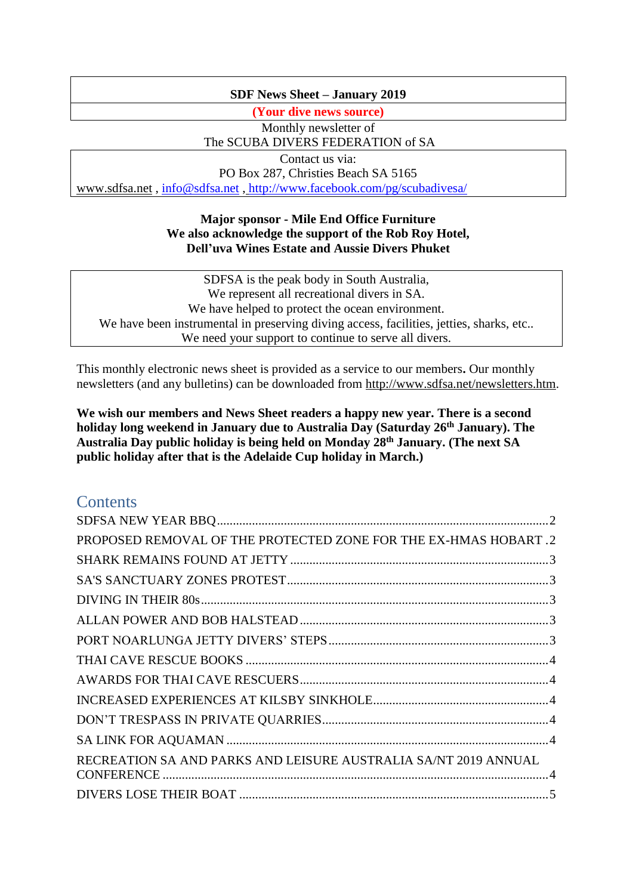# **SDF News Sheet – January 2019**

**(Your dive news source)**

Monthly newsletter of The SCUBA DIVERS FEDERATION of SA

Contact us via: PO Box 287, Christies Beach SA 5165 [www.sdfsa.net](http://www.sdfsa.net/) , [info@sdfsa.net](mailto:info@sdfsa.net) , <http://www.facebook.com/pg/scubadivesa/>

# **Major sponsor - Mile End Office Furniture We also acknowledge the support of the Rob Roy Hotel, Dell'uva Wines Estate and Aussie Divers Phuket**

SDFSA is the peak body in South Australia, We represent all recreational divers in SA. We have helped to protect the ocean environment. We have been instrumental in preserving diving access, facilities, jetties, sharks, etc.. We need your support to continue to serve all divers.

This monthly electronic news sheet is provided as a service to our members**.** Our monthly newsletters (and any bulletins) can be downloaded from [http://www.sdfsa.net/newsletters.htm.](http://www.sdfsa.net/newsletters.htm)

**We wish our members and News Sheet readers a happy new year. There is a second holiday long weekend in January due to Australia Day (Saturday 26th January). The Australia Day public holiday is being held on Monday 28th January. (The next SA public holiday after that is the Adelaide Cup holiday in March.)**

# **Contents**

| PROPOSED REMOVAL OF THE PROTECTED ZONE FOR THE EX-HMAS HOBART.2 |  |
|-----------------------------------------------------------------|--|
|                                                                 |  |
|                                                                 |  |
|                                                                 |  |
|                                                                 |  |
|                                                                 |  |
|                                                                 |  |
|                                                                 |  |
|                                                                 |  |
|                                                                 |  |
|                                                                 |  |
| RECREATION SA AND PARKS AND LEISURE AUSTRALIA SA/NT 2019 ANNUAL |  |
|                                                                 |  |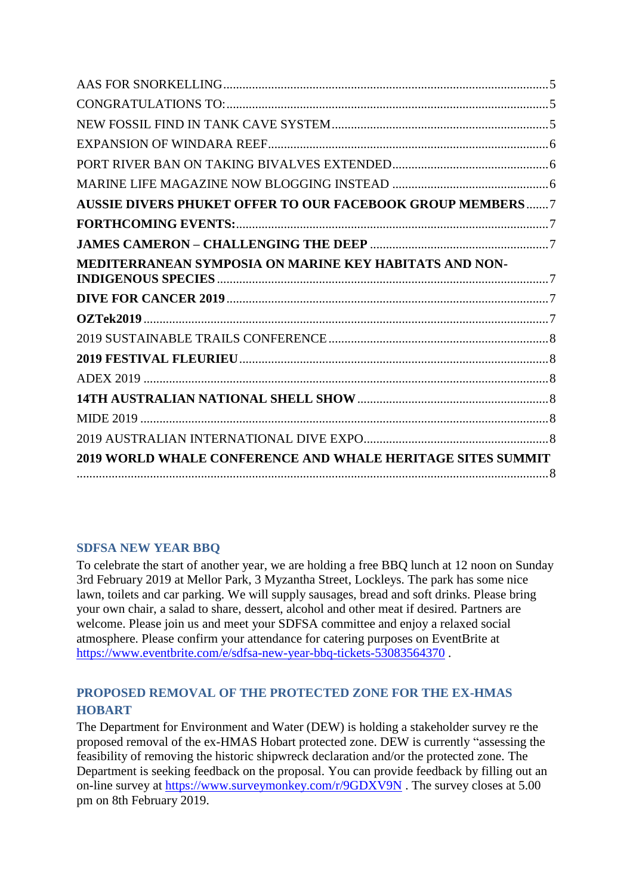| <b>2019 WORLD WHALE CONFERENCE AND WHALE HERITAGE SITES SUMMIT</b> |  |
|--------------------------------------------------------------------|--|
|                                                                    |  |
|                                                                    |  |
|                                                                    |  |
|                                                                    |  |
|                                                                    |  |
|                                                                    |  |
|                                                                    |  |
|                                                                    |  |
|                                                                    |  |
| MEDITERRANEAN SYMPOSIA ON MARINE KEY HABITATS AND NON-             |  |
|                                                                    |  |
|                                                                    |  |
| <b>AUSSIE DIVERS PHUKET OFFER TO OUR FACEBOOK GROUP MEMBERS7</b>   |  |
|                                                                    |  |
|                                                                    |  |
|                                                                    |  |
|                                                                    |  |
|                                                                    |  |
|                                                                    |  |

# <span id="page-1-0"></span>**SDFSA NEW YEAR BBQ**

To celebrate the start of another year, we are holding a free BBQ lunch at 12 noon on Sunday 3rd February 2019 at Mellor Park, 3 Myzantha Street, Lockleys. The park has some nice lawn, toilets and car parking. We will supply sausages, bread and soft drinks. Please bring your own chair, a salad to share, dessert, alcohol and other meat if desired. Partners are welcome. Please join us and meet your SDFSA committee and enjoy a relaxed social atmosphere. Please confirm your attendance for catering purposes on EventBrite at <https://www.eventbrite.com/e/sdfsa-new-year-bbq-tickets-53083564370> .

# <span id="page-1-1"></span>**PROPOSED REMOVAL OF THE PROTECTED ZONE FOR THE EX-HMAS HOBART**

The Department for Environment and Water (DEW) is holding a stakeholder survey re the proposed removal of the ex-HMAS Hobart protected zone. DEW is currently "assessing the feasibility of removing the historic shipwreck declaration and/or the protected zone. The Department is seeking feedback on the proposal. You can provide feedback by filling out an on-line survey at<https://www.surveymonkey.com/r/9GDXV9N> . The survey closes at 5.00 pm on 8th February 2019.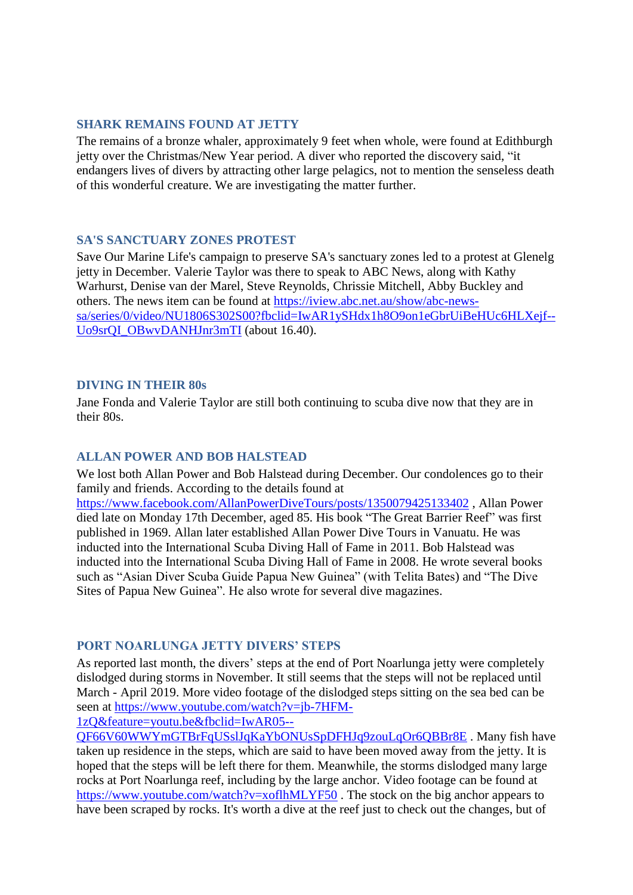# <span id="page-2-0"></span>**SHARK REMAINS FOUND AT JETTY**

The remains of a bronze whaler, approximately 9 feet when whole, were found at Edithburgh jetty over the Christmas/New Year period. A diver who reported the discovery said, "it endangers lives of divers by attracting other large pelagics, not to mention the senseless death of this wonderful creature. We are investigating the matter further.

# <span id="page-2-1"></span>**SA'S SANCTUARY ZONES PROTEST**

Save Our Marine Life's campaign to preserve SA's sanctuary zones led to a protest at Glenelg jetty in December. Valerie Taylor was there to speak to ABC News, along with Kathy Warhurst, Denise van der Marel, Steve Reynolds, Chrissie Mitchell, Abby Buckley and others. The news item can be found at [https://iview.abc.net.au/show/abc-news](https://iview.abc.net.au/show/abc-news-sa/series/0/video/NU1806S302S00?fbclid=IwAR1ySHdx1h8O9on1eGbrUiBeHUc6HLXejf--Uo9srQI_OBwvDANHJnr3mTI)[sa/series/0/video/NU1806S302S00?fbclid=IwAR1ySHdx1h8O9on1eGbrUiBeHUc6HLXejf--](https://iview.abc.net.au/show/abc-news-sa/series/0/video/NU1806S302S00?fbclid=IwAR1ySHdx1h8O9on1eGbrUiBeHUc6HLXejf--Uo9srQI_OBwvDANHJnr3mTI) [Uo9srQI\\_OBwvDANHJnr3mTI](https://iview.abc.net.au/show/abc-news-sa/series/0/video/NU1806S302S00?fbclid=IwAR1ySHdx1h8O9on1eGbrUiBeHUc6HLXejf--Uo9srQI_OBwvDANHJnr3mTI) (about 16.40).

### <span id="page-2-2"></span>**DIVING IN THEIR 80s**

Jane Fonda and Valerie Taylor are still both continuing to scuba dive now that they are in their 80s.

# <span id="page-2-3"></span>**ALLAN POWER AND BOB HALSTEAD**

We lost both Allan Power and Bob Halstead during December. Our condolences go to their family and friends. According to the details found at

<https://www.facebook.com/AllanPowerDiveTours/posts/1350079425133402> , Allan Power died late on Monday 17th December, aged 85. His book "The Great Barrier Reef" was first published in 1969. Allan later established Allan Power Dive Tours in Vanuatu. He was inducted into the International Scuba Diving Hall of Fame in 2011. Bob Halstead was inducted into the International Scuba Diving Hall of Fame in 2008. He wrote several books such as "Asian Diver Scuba Guide Papua New Guinea" (with Telita Bates) and "The Dive Sites of Papua New Guinea". He also wrote for several dive magazines.

# <span id="page-2-4"></span>**PORT NOARLUNGA JETTY DIVERS' STEPS**

As reported last month, the divers' steps at the end of Port Noarlunga jetty were completely dislodged during storms in November. It still seems that the steps will not be replaced until March - April 2019. More video footage of the dislodged steps sitting on the sea bed can be seen at [https://www.youtube.com/watch?v=jb-7HFM-](https://www.youtube.com/watch?v=jb-7HFM-1zQ&feature=youtu.be&fbclid=IwAR05--QF66V60WWYmGTBrFqUSslJqKaYbONUsSpDFHJq9zouLqOr6QBBr8E)

[1zQ&feature=youtu.be&fbclid=IwAR05--](https://www.youtube.com/watch?v=jb-7HFM-1zQ&feature=youtu.be&fbclid=IwAR05--QF66V60WWYmGTBrFqUSslJqKaYbONUsSpDFHJq9zouLqOr6QBBr8E)

[QF66V60WWYmGTBrFqUSslJqKaYbONUsSpDFHJq9zouLqOr6QBBr8E](https://www.youtube.com/watch?v=jb-7HFM-1zQ&feature=youtu.be&fbclid=IwAR05--QF66V60WWYmGTBrFqUSslJqKaYbONUsSpDFHJq9zouLqOr6QBBr8E) . Many fish have taken up residence in the steps, which are said to have been moved away from the jetty. It is hoped that the steps will be left there for them. Meanwhile, the storms dislodged many large rocks at Port Noarlunga reef, including by the large anchor. Video footage can be found at <https://www.youtube.com/watch?v=xoflhMLYF50>. The stock on the big anchor appears to have been scraped by rocks. It's worth a dive at the reef just to check out the changes, but of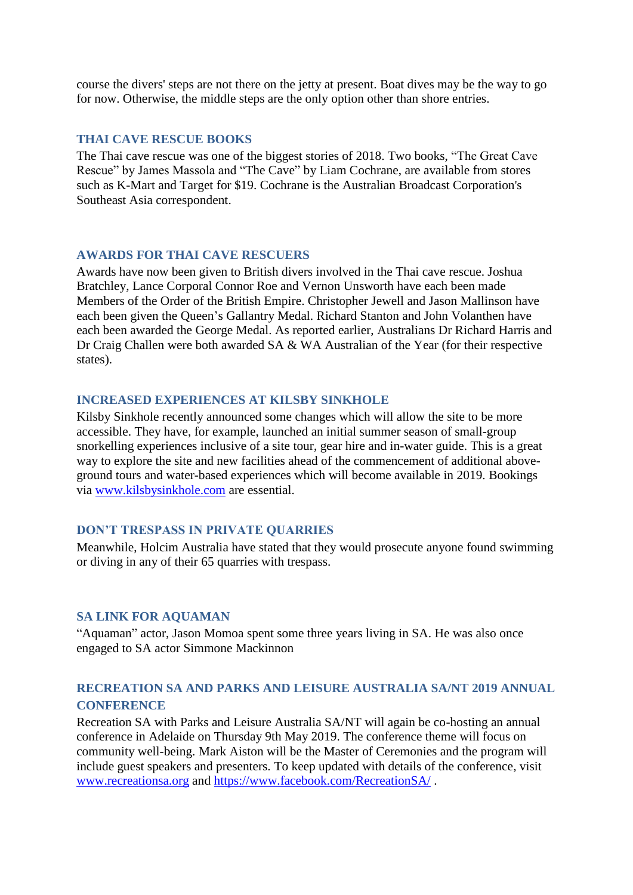course the divers' steps are not there on the jetty at present. Boat dives may be the way to go for now. Otherwise, the middle steps are the only option other than shore entries.

#### <span id="page-3-0"></span>**THAI CAVE RESCUE BOOKS**

The Thai cave rescue was one of the biggest stories of 2018. Two books, "The Great Cave Rescue" by James Massola and "The Cave" by Liam Cochrane, are available from stores such as K-Mart and Target for \$19. Cochrane is the Australian Broadcast Corporation's Southeast Asia correspondent.

# <span id="page-3-1"></span>**AWARDS FOR THAI CAVE RESCUERS**

Awards have now been given to British divers involved in the Thai cave rescue. Joshua Bratchley, Lance Corporal Connor Roe and Vernon Unsworth have each been made Members of the Order of the British Empire. Christopher Jewell and Jason Mallinson have each been given the Queen's Gallantry Medal. Richard Stanton and John Volanthen have each been awarded the George Medal. As reported earlier, Australians Dr Richard Harris and Dr Craig Challen were both awarded SA & WA Australian of the Year (for their respective states).

#### <span id="page-3-2"></span>**INCREASED EXPERIENCES AT KILSBY SINKHOLE**

Kilsby Sinkhole recently announced some changes which will allow the site to be more accessible. They have, for example, launched an initial summer season of small-group snorkelling experiences inclusive of a site tour, gear hire and in-water guide. This is a great way to explore the site and new facilities ahead of the commencement of additional aboveground tours and water-based experiences which will become available in 2019. Bookings via [www.kilsbysinkhole.com](http://www.kilsbysinkhole.com/) are essential.

### <span id="page-3-3"></span>**DON'T TRESPASS IN PRIVATE QUARRIES**

Meanwhile, Holcim Australia have stated that they would prosecute anyone found swimming or diving in any of their 65 quarries with trespass.

#### <span id="page-3-4"></span>**SA LINK FOR AQUAMAN**

"Aquaman" actor, Jason Momoa spent some three years living in SA. He was also once engaged to SA actor Simmone Mackinnon

# <span id="page-3-5"></span>**RECREATION SA AND PARKS AND LEISURE AUSTRALIA SA/NT 2019 ANNUAL CONFERENCE**

Recreation SA with Parks and Leisure Australia SA/NT will again be co-hosting an annual conference in Adelaide on Thursday 9th May 2019. The conference theme will focus on community well-being. Mark Aiston will be the Master of Ceremonies and the program will include guest speakers and presenters. To keep updated with details of the conference, visit [www.recreationsa.org](http://www.recreationsa.org/) and<https://www.facebook.com/RecreationSA/> .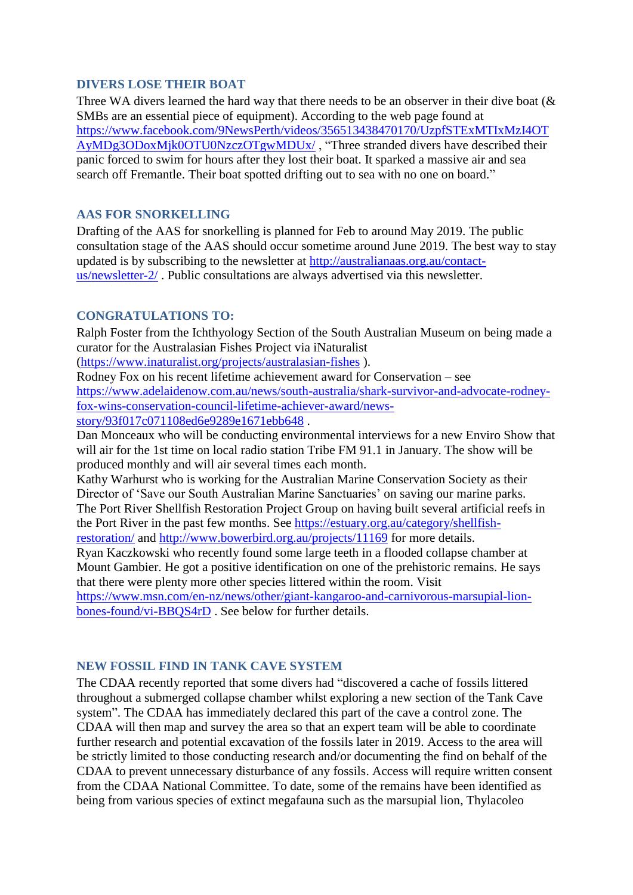# <span id="page-4-0"></span>**DIVERS LOSE THEIR BOAT**

Three WA divers learned the hard way that there needs to be an observer in their dive boat ( $\&$ SMBs are an essential piece of equipment). According to the web page found at [https://www.facebook.com/9NewsPerth/videos/356513438470170/UzpfSTExMTIxMzI4OT](https://www.facebook.com/9NewsPerth/videos/356513438470170/UzpfSTExMTIxMzI4OTAyMDg3ODoxMjk0OTU0NzczOTgwMDUx/) [AyMDg3ODoxMjk0OTU0NzczOTgwMDUx/](https://www.facebook.com/9NewsPerth/videos/356513438470170/UzpfSTExMTIxMzI4OTAyMDg3ODoxMjk0OTU0NzczOTgwMDUx/) , "Three stranded divers have described their panic forced to swim for hours after they lost their boat. It sparked a massive air and sea search off Fremantle. Their boat spotted drifting out to sea with no one on board."

# <span id="page-4-1"></span>**AAS FOR SNORKELLING**

Drafting of the AAS for snorkelling is planned for Feb to around May 2019. The public consultation stage of the AAS should occur sometime around June 2019. The best way to stay updated is by subscribing to the newsletter at [http://australianaas.org.au/contact](http://australianaas.org.au/contact-us/newsletter-2/)[us/newsletter-2/](http://australianaas.org.au/contact-us/newsletter-2/) . Public consultations are always advertised via this newsletter.

# <span id="page-4-2"></span>**CONGRATULATIONS TO:**

Ralph Foster from the Ichthyology Section of the South Australian Museum on being made a curator for the Australasian Fishes Project via iNaturalist

[\(https://www.inaturalist.org/projects/australasian-fishes](https://www.inaturalist.org/projects/australasian-fishes) ).

Rodney Fox on his recent lifetime achievement award for Conservation – see [https://www.adelaidenow.com.au/news/south-australia/shark-survivor-and-advocate-rodney](https://www.adelaidenow.com.au/news/south-australia/shark-survivor-and-advocate-rodney-fox-wins-conservation-council-lifetime-achiever-award/news-story/93f017c071108ed6e9289e1671ebb648)[fox-wins-conservation-council-lifetime-achiever-award/news](https://www.adelaidenow.com.au/news/south-australia/shark-survivor-and-advocate-rodney-fox-wins-conservation-council-lifetime-achiever-award/news-story/93f017c071108ed6e9289e1671ebb648)[story/93f017c071108ed6e9289e1671ebb648](https://www.adelaidenow.com.au/news/south-australia/shark-survivor-and-advocate-rodney-fox-wins-conservation-council-lifetime-achiever-award/news-story/93f017c071108ed6e9289e1671ebb648) .

Dan Monceaux who will be conducting environmental interviews for a new Enviro Show that will air for the 1st time on local radio station Tribe FM 91.1 in January. The show will be produced monthly and will air several times each month.

Kathy Warhurst who is working for the Australian Marine Conservation Society as their Director of 'Save our South Australian Marine Sanctuaries' on saving our marine parks. The Port River Shellfish Restoration Project Group on having built several artificial reefs in the Port River in the past few months. See [https://estuary.org.au/category/shellfish](https://estuary.org.au/category/shellfish-restoration/)[restoration/](https://estuary.org.au/category/shellfish-restoration/) and<http://www.bowerbird.org.au/projects/11169> for more details.

Ryan Kaczkowski who recently found some large teeth in a flooded collapse chamber at Mount Gambier. He got a positive identification on one of the prehistoric remains. He says that there were plenty more other species littered within the room. Visit

[https://www.msn.com/en-nz/news/other/giant-kangaroo-and-carnivorous-marsupial-lion](https://www.msn.com/en-nz/news/other/giant-kangaroo-and-carnivorous-marsupial-lion-bones-found/vi-BBQS4rD)[bones-found/vi-BBQS4rD](https://www.msn.com/en-nz/news/other/giant-kangaroo-and-carnivorous-marsupial-lion-bones-found/vi-BBQS4rD) . See below for further details.

# <span id="page-4-3"></span>**NEW FOSSIL FIND IN TANK CAVE SYSTEM**

The CDAA recently reported that some divers had "discovered a cache of fossils littered throughout a submerged collapse chamber whilst exploring a new section of the Tank Cave system". The CDAA has immediately declared this part of the cave a control zone. The CDAA will then map and survey the area so that an expert team will be able to coordinate further research and potential excavation of the fossils later in 2019. Access to the area will be strictly limited to those conducting research and/or documenting the find on behalf of the CDAA to prevent unnecessary disturbance of any fossils. Access will require written consent from the CDAA National Committee. To date, some of the remains have been identified as being from various species of extinct megafauna such as the marsupial lion, Thylacoleo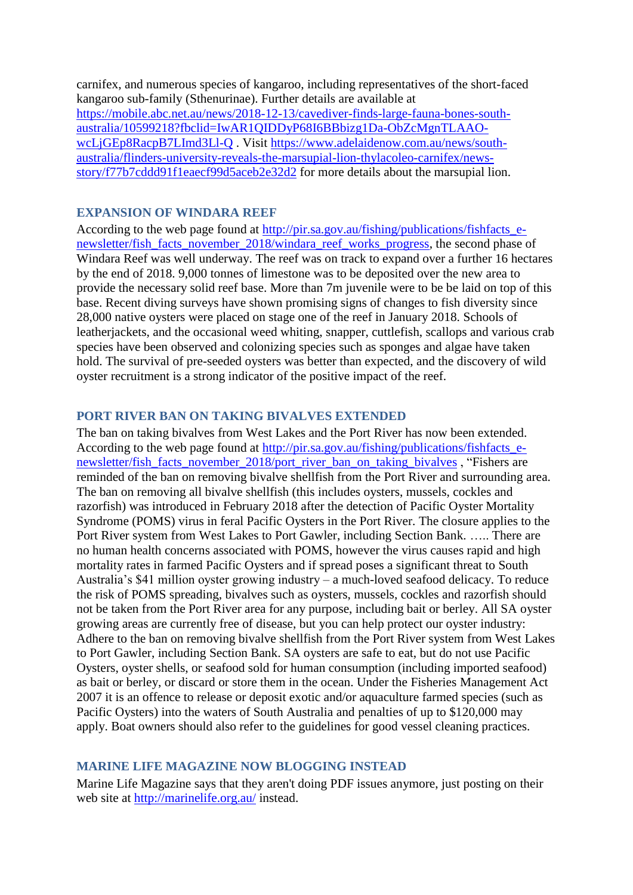carnifex, and numerous species of kangaroo, including representatives of the short-faced kangaroo sub-family (Sthenurinae). Further details are available at [https://mobile.abc.net.au/news/2018-12-13/cavediver-finds-large-fauna-bones-south](https://mobile.abc.net.au/news/2018-12-13/cavediver-finds-large-fauna-bones-south-australia/10599218?fbclid=IwAR1QIDDyP68I6BBbizg1Da-ObZcMgnTLAAO-wcLjGEp8RacpB7LImd3Ll-Q)[australia/10599218?fbclid=IwAR1QIDDyP68I6BBbizg1Da-ObZcMgnTLAAO](https://mobile.abc.net.au/news/2018-12-13/cavediver-finds-large-fauna-bones-south-australia/10599218?fbclid=IwAR1QIDDyP68I6BBbizg1Da-ObZcMgnTLAAO-wcLjGEp8RacpB7LImd3Ll-Q)[wcLjGEp8RacpB7LImd3Ll-Q](https://mobile.abc.net.au/news/2018-12-13/cavediver-finds-large-fauna-bones-south-australia/10599218?fbclid=IwAR1QIDDyP68I6BBbizg1Da-ObZcMgnTLAAO-wcLjGEp8RacpB7LImd3Ll-Q) . Visit [https://www.adelaidenow.com.au/news/south](https://www.adelaidenow.com.au/news/south-australia/flinders-university-reveals-the-marsupial-lion-thylacoleo-carnifex/news-story/f77b7cddd91f1eaecf99d5aceb2e32d2)[australia/flinders-university-reveals-the-marsupial-lion-thylacoleo-carnifex/news](https://www.adelaidenow.com.au/news/south-australia/flinders-university-reveals-the-marsupial-lion-thylacoleo-carnifex/news-story/f77b7cddd91f1eaecf99d5aceb2e32d2)[story/f77b7cddd91f1eaecf99d5aceb2e32d2](https://www.adelaidenow.com.au/news/south-australia/flinders-university-reveals-the-marsupial-lion-thylacoleo-carnifex/news-story/f77b7cddd91f1eaecf99d5aceb2e32d2) for more details about the marsupial lion.

### <span id="page-5-0"></span>**EXPANSION OF WINDARA REEF**

According to the web page found at http://pir.sa.gov.au/fishing/publications/fishfacts e[newsletter/fish\\_facts\\_november\\_2018/windara\\_reef\\_works\\_progress,](http://pir.sa.gov.au/fishing/publications/fishfacts_e-newsletter/fish_facts_november_2018/windara_reef_works_progress) the second phase of Windara Reef was well underway. The reef was on track to expand over a further 16 hectares by the end of 2018. 9,000 tonnes of limestone was to be deposited over the new area to provide the necessary solid reef base. More than 7m juvenile were to be be laid on top of this base. Recent diving surveys have shown promising signs of changes to fish diversity since 28,000 native oysters were placed on stage one of the reef in January 2018. Schools of leatherjackets, and the occasional weed whiting, snapper, cuttlefish, scallops and various crab species have been observed and colonizing species such as sponges and algae have taken hold. The survival of pre-seeded oysters was better than expected, and the discovery of wild oyster recruitment is a strong indicator of the positive impact of the reef.

# <span id="page-5-1"></span>**PORT RIVER BAN ON TAKING BIVALVES EXTENDED**

The ban on taking bivalves from West Lakes and the Port River has now been extended. According to the web page found at [http://pir.sa.gov.au/fishing/publications/fishfacts\\_e](http://pir.sa.gov.au/fishing/publications/fishfacts_e-newsletter/fish_facts_november_2018/port_river_ban_on_taking_bivalves)[newsletter/fish\\_facts\\_november\\_2018/port\\_river\\_ban\\_on\\_taking\\_bivalves](http://pir.sa.gov.au/fishing/publications/fishfacts_e-newsletter/fish_facts_november_2018/port_river_ban_on_taking_bivalves) , "Fishers are reminded of the ban on removing bivalve shellfish from the Port River and surrounding area. The ban on removing all bivalve shellfish (this includes oysters, mussels, cockles and razorfish) was introduced in February 2018 after the detection of Pacific Oyster Mortality Syndrome (POMS) virus in feral Pacific Oysters in the Port River. The closure applies to the Port River system from West Lakes to Port Gawler, including Section Bank. ….. There are no human health concerns associated with POMS, however the virus causes rapid and high mortality rates in farmed Pacific Oysters and if spread poses a significant threat to South Australia's \$41 million oyster growing industry – a much-loved seafood delicacy. To reduce the risk of POMS spreading, bivalves such as oysters, mussels, cockles and razorfish should not be taken from the Port River area for any purpose, including bait or berley. All SA oyster growing areas are currently free of disease, but you can help protect our oyster industry: Adhere to the ban on removing bivalve shellfish from the Port River system from West Lakes to Port Gawler, including Section Bank. SA oysters are safe to eat, but do not use Pacific Oysters, oyster shells, or seafood sold for human consumption (including imported seafood) as bait or berley, or discard or store them in the ocean. Under the Fisheries Management Act 2007 it is an offence to release or deposit exotic and/or aquaculture farmed species (such as Pacific Oysters) into the waters of South Australia and penalties of up to \$120,000 may apply. Boat owners should also refer to the guidelines for good vessel cleaning practices.

### <span id="page-5-2"></span>**MARINE LIFE MAGAZINE NOW BLOGGING INSTEAD**

Marine Life Magazine says that they aren't doing PDF issues anymore, just posting on their web site at<http://marinelife.org.au/> instead.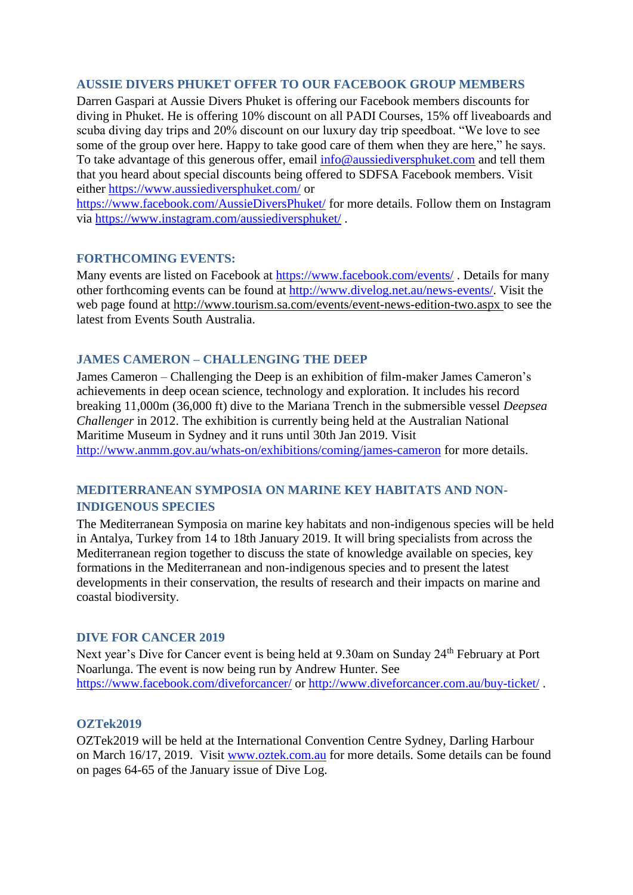# <span id="page-6-0"></span>**AUSSIE DIVERS PHUKET OFFER TO OUR FACEBOOK GROUP MEMBERS**

Darren Gaspari at Aussie Divers Phuket is offering our Facebook members discounts for diving in Phuket. He is offering 10% discount on all PADI Courses, 15% off liveaboards and scuba diving day trips and 20% discount on our luxury day trip speedboat. "We love to see some of the group over here. Happy to take good care of them when they are here," he says. To take advantage of this generous offer, email [info@aussiediversphuket.com](mailto:info@aussiediversphuket.com) and tell them that you heard about special discounts being offered to SDFSA Facebook members. Visit either<https://www.aussiediversphuket.com/> or

<https://www.facebook.com/AussieDiversPhuket/> for more details. Follow them on Instagram via<https://www.instagram.com/aussiediversphuket/> .

# <span id="page-6-1"></span>**FORTHCOMING EVENTS:**

Many events are listed on Facebook at<https://www.facebook.com/events/>. Details for many other forthcoming events can be found at [http://www.divelog.net.au/news-events/.](http://www.divelog.net.au/news-events/) Visit the web page found at<http://www.tourism.sa.com/events/event-news-edition-two.aspx> to see the latest from Events South Australia.

# <span id="page-6-2"></span>**JAMES CAMERON – CHALLENGING THE DEEP**

James Cameron – Challenging the Deep is an exhibition of film-maker James Cameron's achievements in deep ocean science, technology and exploration. It includes his record breaking 11,000m (36,000 ft) dive to the Mariana Trench in the submersible vessel *Deepsea Challenger* in 2012. The exhibition is currently being held at the Australian National Maritime Museum in Sydney and it runs until 30th Jan 2019. Visit <http://www.anmm.gov.au/whats-on/exhibitions/coming/james-cameron> for more details.

# <span id="page-6-3"></span>**MEDITERRANEAN SYMPOSIA ON MARINE KEY HABITATS AND NON-INDIGENOUS SPECIES**

The Mediterranean Symposia on marine key habitats and non-indigenous species will be held in Antalya, Turkey from 14 to 18th January 2019. It will bring specialists from across the Mediterranean region together to discuss the state of knowledge available on species, key formations in the Mediterranean and non-indigenous species and to present the latest developments in their conservation, the results of research and their impacts on marine and coastal biodiversity.

# <span id="page-6-4"></span>**DIVE FOR CANCER 2019**

Next year's Dive for Cancer event is being held at 9.30am on Sunday 24<sup>th</sup> February at Port Noarlunga. The event is now being run by Andrew Hunter. See <https://www.facebook.com/diveforcancer/> or<http://www.diveforcancer.com.au/buy-ticket/> .

### <span id="page-6-5"></span>**OZTek2019**

OZTek2019 will be held at the International Convention Centre Sydney, Darling Harbour on March 16/17, 2019. Visit [www.oztek.com.au](http://www.oztek.com.au/) for more details. Some details can be found on pages 64-65 of the January issue of Dive Log.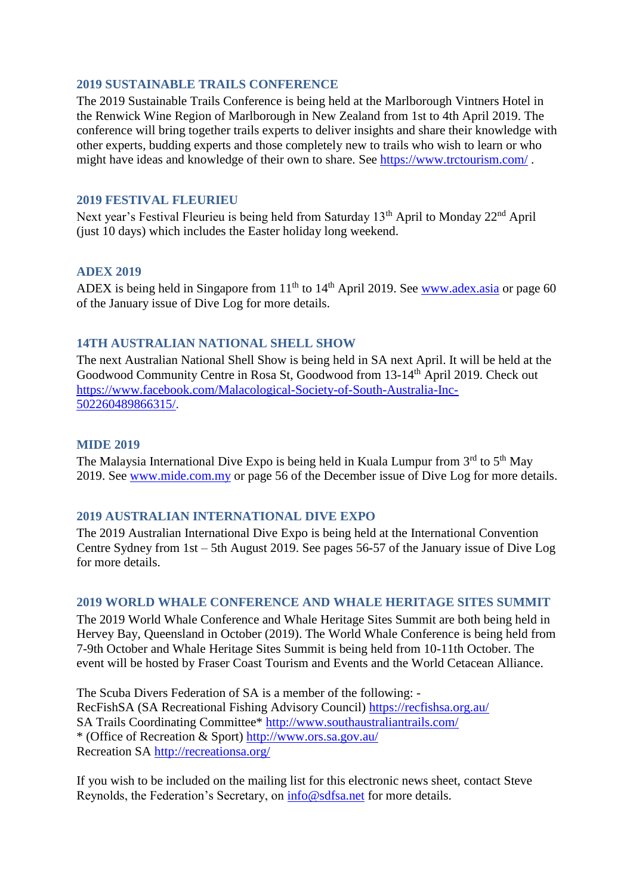# <span id="page-7-0"></span>**2019 SUSTAINABLE TRAILS CONFERENCE**

The 2019 Sustainable Trails Conference is being held at the Marlborough Vintners Hotel in the Renwick Wine Region of Marlborough in New Zealand from 1st to 4th April 2019. The conference will bring together trails experts to deliver insights and share their knowledge with other experts, budding experts and those completely new to trails who wish to learn or who might have ideas and knowledge of their own to share. See<https://www.trctourism.com/> .

# <span id="page-7-1"></span>**2019 FESTIVAL FLEURIEU**

Next year's Festival Fleurieu is being held from Saturday 13<sup>th</sup> April to Monday 22<sup>nd</sup> April (just 10 days) which includes the Easter holiday long weekend.

# <span id="page-7-2"></span>**ADEX 2019**

ADEX is being held in Singapore from  $11<sup>th</sup>$  to  $14<sup>th</sup>$  April 2019. See [www.adex.asia](http://www.adex.asia/) or page 60 of the January issue of Dive Log for more details.

# <span id="page-7-3"></span>**14TH AUSTRALIAN NATIONAL SHELL SHOW**

The next Australian National Shell Show is being held in SA next April. It will be held at the Goodwood Community Centre in Rosa St, Goodwood from 13-14th April 2019. Check out [https://www.facebook.com/Malacological-Society-of-South-Australia-Inc-](https://www.facebook.com/Malacological-Society-of-South-Australia-Inc-502260489866315/)[502260489866315/.](https://www.facebook.com/Malacological-Society-of-South-Australia-Inc-502260489866315/)

# <span id="page-7-4"></span>**MIDE 2019**

The Malaysia International Dive Expo is being held in Kuala Lumpur from  $3<sup>rd</sup>$  to  $5<sup>th</sup>$  May 2019. See [www.mide.com.my](http://www.mide.com.my/) or page 56 of the December issue of Dive Log for more details.

# <span id="page-7-5"></span>**2019 AUSTRALIAN INTERNATIONAL DIVE EXPO**

The 2019 Australian International Dive Expo is being held at the International Convention Centre Sydney from 1st – 5th August 2019. See pages 56-57 of the January issue of Dive Log for more details.

### <span id="page-7-6"></span>**2019 WORLD WHALE CONFERENCE AND WHALE HERITAGE SITES SUMMIT**

The 2019 World Whale Conference and Whale Heritage Sites Summit are both being held in Hervey Bay, Queensland in October (2019). The World Whale Conference is being held from 7-9th October and Whale Heritage Sites Summit is being held from 10-11th October. The event will be hosted by Fraser Coast Tourism and Events and the World Cetacean Alliance.

The Scuba Divers Federation of SA is a member of the following: - RecFishSA (SA Recreational Fishing Advisory Council)<https://recfishsa.org.au/> SA Trails Coordinating Committee\*<http://www.southaustraliantrails.com/> \* (Office of Recreation & Sport)<http://www.ors.sa.gov.au/> Recreation SA<http://recreationsa.org/>

If you wish to be included on the mailing list for this electronic news sheet, contact Steve Reynolds, the Federation's Secretary, on [info@sdfsa.net](mailto:info@sdfsa.net) for more details.